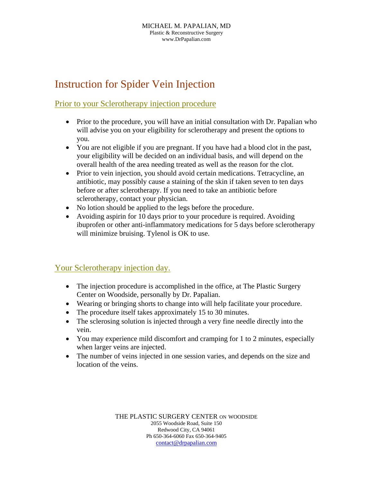## Instruction for Spider Vein Injection

## Prior to your Sclerotherapy injection procedure

- Prior to the procedure, you will have an initial consultation with Dr. Papalian who will advise you on your eligibility for sclerotherapy and present the options to you.
- You are not eligible if you are pregnant. If you have had a blood clot in the past, your eligibility will be decided on an individual basis, and will depend on the overall health of the area needing treated as well as the reason for the clot.
- Prior to vein injection, you should avoid certain medications. Tetracycline, an antibiotic, may possibly cause a staining of the skin if taken seven to ten days before or after sclerotherapy. If you need to take an antibiotic before sclerotherapy, contact your physician.
- No lotion should be applied to the legs before the procedure.
- Avoiding aspirin for 10 days prior to your procedure is required. Avoiding ibuprofen or other anti-inflammatory medications for 5 days before sclerotherapy will minimize bruising. Tylenol is OK to use.

## Your Sclerotherapy injection day.

- The injection procedure is accomplished in the office, at The Plastic Surgery Center on Woodside, personally by Dr. Papalian.
- Wearing or bringing shorts to change into will help facilitate your procedure.
- The procedure itself takes approximately 15 to 30 minutes.
- The sclerosing solution is injected through a very fine needle directly into the vein.
- You may experience mild discomfort and cramping for 1 to 2 minutes, especially when larger veins are injected.
- The number of veins injected in one session varies, and depends on the size and location of the veins.

THE PLASTIC SURGERY CENTER ON WOODSIDE 2055 Woodside Road, Suite 150 Redwood City, CA 94061 Ph 650-364-6060 Fax 650-364-9405 contact@drpapalian.com